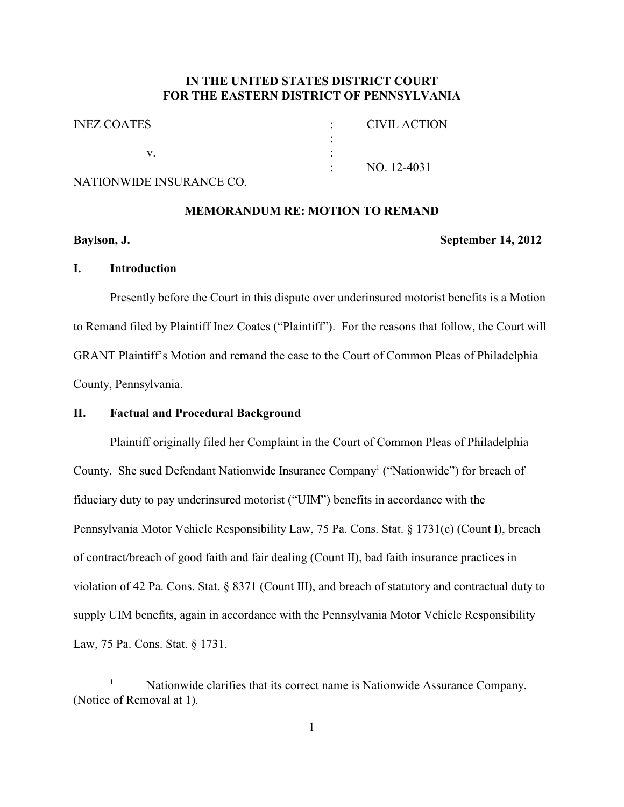# **IN THE UNITED STATES DISTRICT COURT FOR THE EASTERN DISTRICT OF PENNSYLVANIA**

| <b>INEZ COATES</b> |                   | CIVIL ACTION |
|--------------------|-------------------|--------------|
|                    |                   |              |
|                    |                   |              |
|                    | $\sim$ 100 $\sim$ | NO. 12-4031  |
|                    |                   |              |

# NATIONWIDE INSURANCE CO.

#### **MEMORANDUM RE: MOTION TO REMAND**

#### **Baylson, J. September 14, 2012**

## **I. Introduction**

Presently before the Court in this dispute over underinsured motorist benefits is a Motion to Remand filed by Plaintiff Inez Coates ("Plaintiff"). For the reasons that follow, the Court will GRANT Plaintiff's Motion and remand the case to the Court of Common Pleas of Philadelphia County, Pennsylvania.

### **II. Factual and Procedural Background**

Plaintiff originally filed her Complaint in the Court of Common Pleas of Philadelphia County. She sued Defendant Nationwide Insurance Company<sup>1</sup> ("Nationwide") for breach of fiduciary duty to pay underinsured motorist ("UIM") benefits in accordance with the Pennsylvania Motor Vehicle Responsibility Law, 75 Pa. Cons. Stat. § 1731(c) (Count I), breach of contract/breach of good faith and fair dealing (Count II), bad faith insurance practices in violation of 42 Pa. Cons. Stat. § 8371 (Count III), and breach of statutory and contractual duty to supply UIM benefits, again in accordance with the Pennsylvania Motor Vehicle Responsibility Law, 75 Pa. Cons. Stat. § 1731.

Nationwide clarifies that its correct name is Nationwide Assurance Company. 1 (Notice of Removal at 1).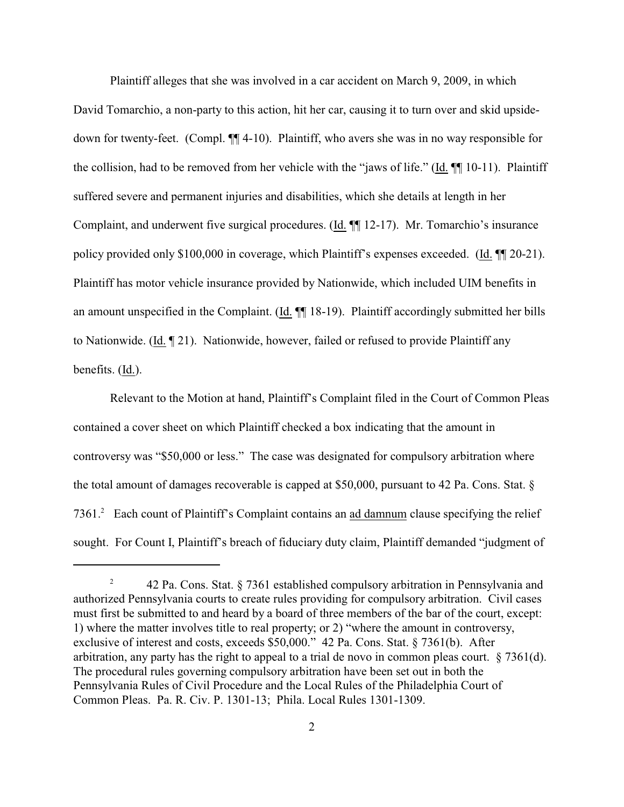Plaintiff alleges that she was involved in a car accident on March 9, 2009, in which David Tomarchio, a non-party to this action, hit her car, causing it to turn over and skid upsidedown for twenty-feet. (Compl. ¶¶ 4-10). Plaintiff, who avers she was in no way responsible for the collision, had to be removed from her vehicle with the "jaws of life." (Id. ¶¶ 10-11). Plaintiff suffered severe and permanent injuries and disabilities, which she details at length in her Complaint, and underwent five surgical procedures. (Id. ¶¶ 12-17). Mr. Tomarchio's insurance policy provided only \$100,000 in coverage, which Plaintiff's expenses exceeded. (Id. ¶¶ 20-21). Plaintiff has motor vehicle insurance provided by Nationwide, which included UIM benefits in an amount unspecified in the Complaint. (Id. ¶¶ 18-19). Plaintiff accordingly submitted her bills to Nationwide. (Id. ¶ 21). Nationwide, however, failed or refused to provide Plaintiff any benefits. (Id.).

Relevant to the Motion at hand, Plaintiff's Complaint filed in the Court of Common Pleas contained a cover sheet on which Plaintiff checked a box indicating that the amount in controversy was "\$50,000 or less." The case was designated for compulsory arbitration where the total amount of damages recoverable is capped at \$50,000, pursuant to 42 Pa. Cons. Stat. § 7361.<sup>2</sup> Each count of Plaintiff's Complaint contains an ad damnum clause specifying the relief sought. For Count I, Plaintiff's breach of fiduciary duty claim, Plaintiff demanded "judgment of

<sup>&</sup>lt;sup>2</sup> 42 Pa. Cons. Stat. § 7361 established compulsory arbitration in Pennsylvania and authorized Pennsylvania courts to create rules providing for compulsory arbitration. Civil cases must first be submitted to and heard by a board of three members of the bar of the court, except: 1) where the matter involves title to real property; or 2) "where the amount in controversy, exclusive of interest and costs, exceeds \$50,000." 42 Pa. Cons. Stat. § 7361(b). After arbitration, any party has the right to appeal to a trial de novo in common pleas court. [§ 7361\(d\)](file:///|//_top). The procedural rules governing compulsory arbitration have been set out in both the Pennsylvania Rules of Civil Procedure and the Local Rules of the Philadelphia Court of Common Pleas. Pa. R. Civ. P. 1301-13; Phila. Local Rules 1301-1309.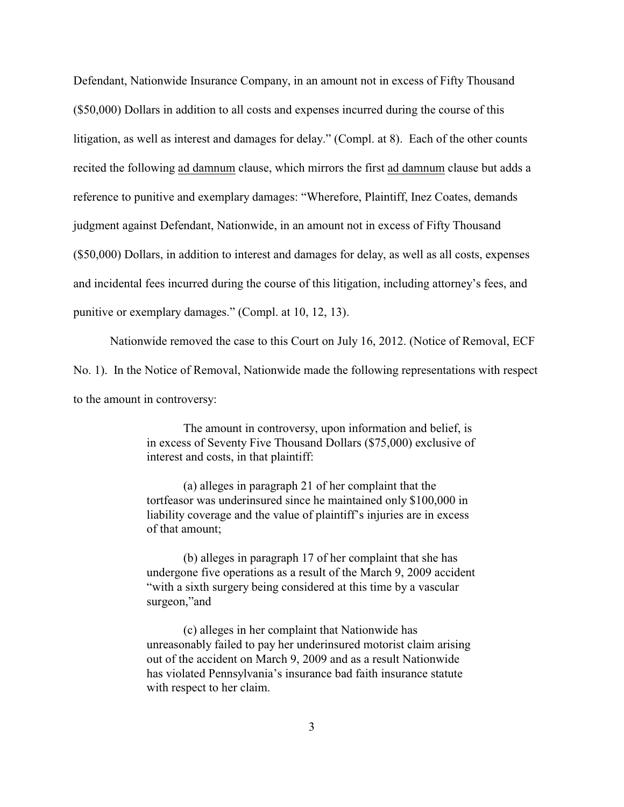Defendant, Nationwide Insurance Company, in an amount not in excess of Fifty Thousand (\$50,000) Dollars in addition to all costs and expenses incurred during the course of this litigation, as well as interest and damages for delay." (Compl. at 8). Each of the other counts recited the following ad damnum clause, which mirrors the first ad damnum clause but adds a reference to punitive and exemplary damages: "Wherefore, Plaintiff, Inez Coates, demands judgment against Defendant, Nationwide, in an amount not in excess of Fifty Thousand (\$50,000) Dollars, in addition to interest and damages for delay, as well as all costs, expenses and incidental fees incurred during the course of this litigation, including attorney's fees, and punitive or exemplary damages." (Compl. at 10, 12, 13).

Nationwide removed the case to this Court on July 16, 2012. (Notice of Removal, ECF No. 1).In the Notice of Removal, Nationwide made the following representations with respect to the amount in controversy:

> The amount in controversy, upon information and belief, is in excess of Seventy Five Thousand Dollars (\$75,000) exclusive of interest and costs, in that plaintiff:

(a) alleges in paragraph 21 of her complaint that the tortfeasor was underinsured since he maintained only \$100,000 in liability coverage and the value of plaintiff's injuries are in excess of that amount;

(b) alleges in paragraph 17 of her complaint that she has undergone five operations as a result of the March 9, 2009 accident "with a sixth surgery being considered at this time by a vascular surgeon,"and

(c) alleges in her complaint that Nationwide has unreasonably failed to pay her underinsured motorist claim arising out of the accident on March 9, 2009 and as a result Nationwide has violated Pennsylvania's insurance bad faith insurance statute with respect to her claim.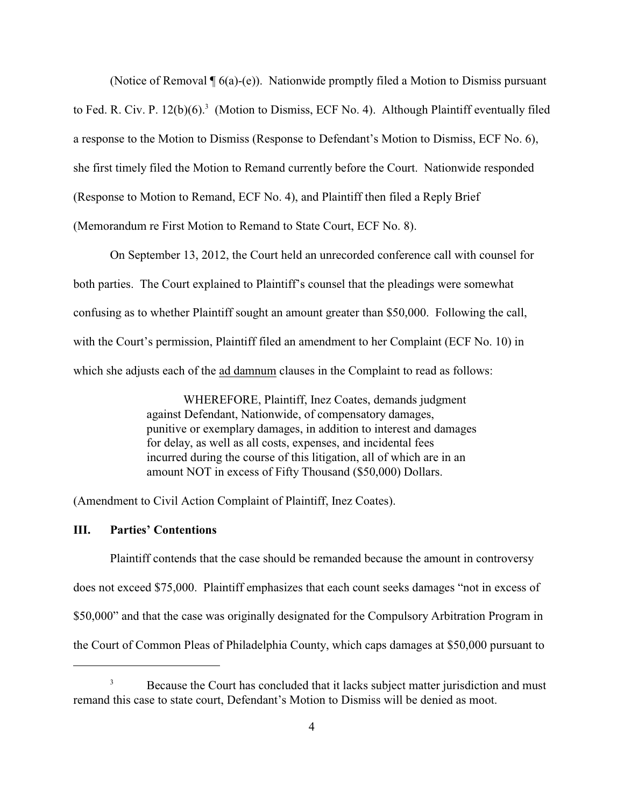(Notice of Removal ¶ 6(a)-(e)). Nationwide promptly filed a Motion to Dismiss pursuant to Fed. R. Civ. P. 12(b)(6).<sup>3</sup> (Motion to Dismiss, ECF No. 4). Although Plaintiff eventually filed a response to the Motion to Dismiss (Response to Defendant's Motion to Dismiss, ECF No. 6), she first timely filed the Motion to Remand currently before the Court. Nationwide responded (Response to Motion to Remand, ECF No. 4), and Plaintiff then filed a Reply Brief (Memorandum re First Motion to Remand to State Court, ECF No. 8).

On September 13, 2012, the Court held an unrecorded conference call with counsel for both parties. The Court explained to Plaintiff's counsel that the pleadings were somewhat confusing as to whether Plaintiff sought an amount greater than \$50,000. Following the call, with the Court's permission, Plaintiff filed an amendment to her Complaint (ECF No. 10) in which she adjusts each of the ad damnum clauses in the Complaint to read as follows:

> WHEREFORE, Plaintiff, Inez Coates, demands judgment against Defendant, Nationwide, of compensatory damages, punitive or exemplary damages, in addition to interest and damages for delay, as well as all costs, expenses, and incidental fees incurred during the course of this litigation, all of which are in an amount NOT in excess of Fifty Thousand (\$50,000) Dollars.

(Amendment to Civil Action Complaint of Plaintiff, Inez Coates).

### **III. Parties' Contentions**

Plaintiff contends that the case should be remanded because the amount in controversy does not exceed \$75,000. Plaintiff emphasizes that each count seeks damages "not in excess of \$50,000" and that the case was originally designated for the Compulsory Arbitration Program in the Court of Common Pleas of Philadelphia County, which caps damages at \$50,000 pursuant to

<sup>&</sup>lt;sup>3</sup> Because the Court has concluded that it lacks subject matter jurisdiction and must remand this case to state court, Defendant's Motion to Dismiss will be denied as moot.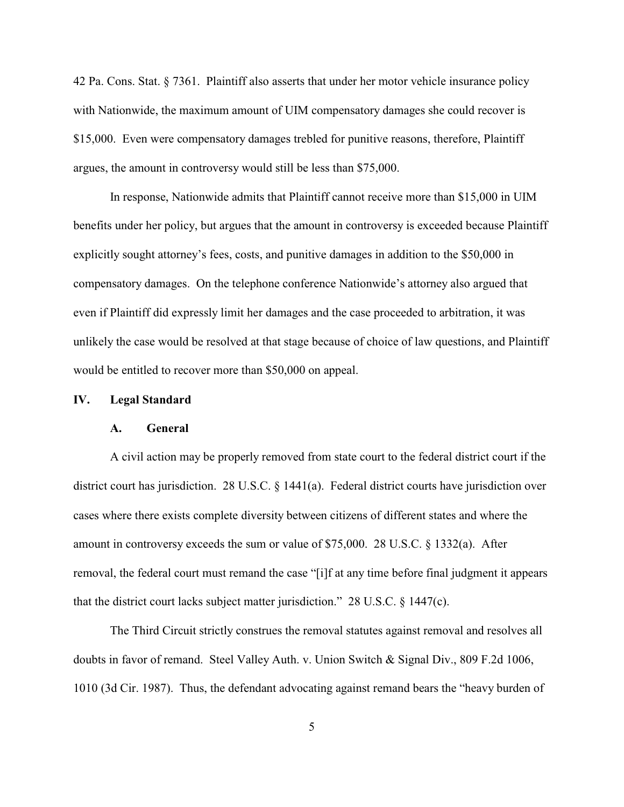42 Pa. Cons. Stat. § 7361.Plaintiff also asserts that under her motor vehicle insurance policy with Nationwide, the maximum amount of UIM compensatory damages she could recover is \$15,000. Even were compensatory damages trebled for punitive reasons, therefore, Plaintiff argues, the amount in controversy would still be less than \$75,000.

In response, Nationwide admits that Plaintiff cannot receive more than \$15,000 in UIM benefits under her policy, but argues that the amount in controversy is exceeded because Plaintiff explicitly sought attorney's fees, costs, and punitive damages in addition to the \$50,000 in compensatory damages.On the telephone conference Nationwide's attorney also argued that even if Plaintiff did expressly limit her damages and the case proceeded to arbitration, it was unlikely the case would be resolved at that stage because of choice of law questions, and Plaintiff would be entitled to recover more than \$50,000 on appeal.

#### **IV. Legal Standard**

#### **A. General**

A civil action may be properly removed from state court to the federal district court if the district court has jurisdiction. [28 U.S.C. § 1441\(a\)](file:///|//_top). Federal district courts have jurisdiction over cases where there exists complete diversity between citizens of different states and where the amount in controversy exceeds the sum or value of \$75,000. [28 U.S.C. § 1332\(a\)](file:///|//_top). After removal, the federal court must remand the case "[i]f at any time before final judgment it appears that the district court lacks subject matter jurisdiction." 28 U.S.C. § 1447(c).

The Third Circuit strictly construes the removal statutes against removal and resolves all doubts in favor of remand. Steel Valley Auth. v. Union Switch & Signal Div., 809 F.2d 1006, 1010 (3d Cir. 1987). Thus, the defendant advocating against remand bears the "heavy burden of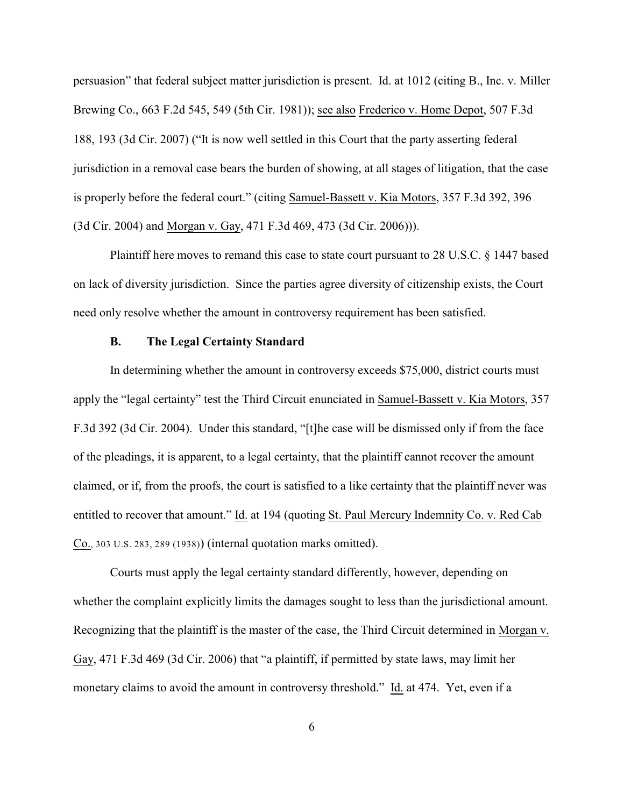persuasion" that federal subject matter jurisdiction is present. Id. at 1012 (citing B., Inc. v. Miller Brewing Co., 663 F.2d 545, 549 (5th Cir. 1981)); see also Frederico v. Home Depot, 507 F.3d 188, 193 (3d Cir. 2007) ("It is now well settled in this Court that the party asserting federal jurisdiction in a removal case bears the burden of showing, at all stages of litigation, that the case is properly before the federal court." (citing Samuel-Bassett v. Kia Motors, 357 F.3d 392, 396 (3d Cir. 2004) and Morgan v. Gay, 471 F.3d 469, 473 (3d Cir. 2006))).

Plaintiff here moves to remand this case to state court pursuant to 28 U.S.C. § 1447 based on lack of diversity jurisdiction. Since the parties agree diversity of citizenship exists, the Court need only resolve whether the amount in controversy requirement has been satisfied.

### **B. The Legal Certainty Standard**

In determining whether the amount in controversy exceeds \$75,000, district courts must apply the "legal certainty" test the Third Circuit enunciated in Samuel-Bassett v. Kia Motors, 357 F.3d 392 (3d Cir. 2004). Under this standard, "[t]he case will be dismissed only if from the face of the pleadings, it is apparent, to a legal certainty, that the plaintiff cannot recover the amount claimed, or if, from the proofs, the court is satisfied to a like certainty that the plaintiff never was entitled to recover that amount." Id. at 194 (quoting [St. Paul Mercury Indemnity Co. v. Red Cab](file:///|//_top) Co., 303 U.S. 283, 289 [\(1938\)](file:///|//_top)) (internal quotation marks omitted).

Courts must apply the legal certainty standard differently, however, depending on whether the complaint explicitly limits the damages sought to less than the jurisdictional amount. Recognizing that the plaintiff is the master of the case, the Third Circuit determined in Morgan v. Gay, 471 F.3d 469 (3d Cir. 2006) that "a plaintiff, if permitted by state laws, may limit her monetary claims to avoid the amount in controversy threshold." Id. at 474. Yet, even if a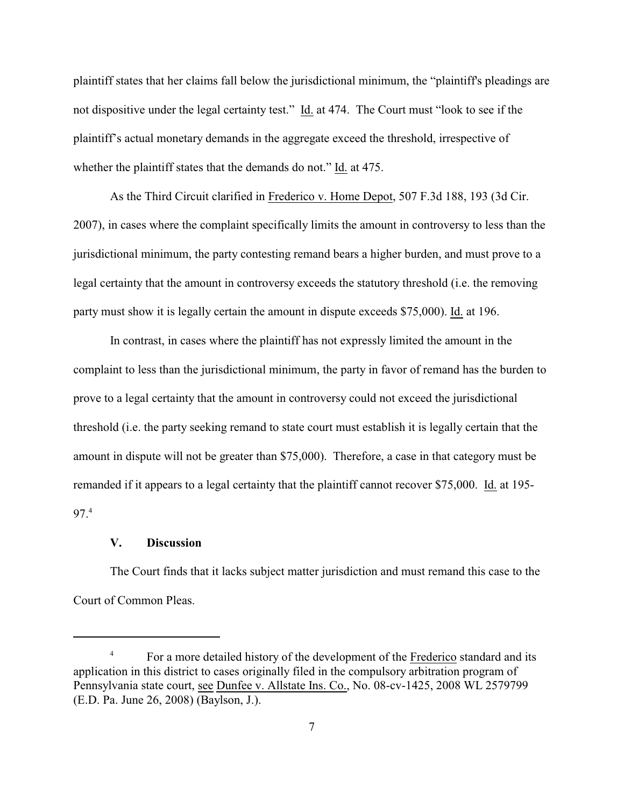plaintiff states that her claims fall below the jurisdictional minimum, the "plaintiff's pleadings are not dispositive under the legal certainty test." Id. at 474. The Court must "look to see if the plaintiff's actual monetary demands in the aggregate exceed the threshold, irrespective of whether the plaintiff states that the demands do not." Id. at 475.

As the Third Circuit clarified in Frederico v. Home Depot, 507 F.3d 188, 193 (3d Cir. 2007), in cases where the complaint specifically limits the amount in controversy to less than the jurisdictional minimum, the party contesting remand bears a higher burden, and must prove to a legal certainty that the amount in controversy exceeds the statutory threshold (i.e. the removing party must show it is legally certain the amount in dispute exceeds \$75,000). Id. at 196.

In contrast, in cases where the plaintiff has not expressly limited the amount in the complaint to less than the jurisdictional minimum, the party in favor of remand has the burden to prove to a legal certainty that the amount in controversy could not exceed the jurisdictional threshold (i.e. the party seeking remand to state court must establish it is legally certain that the amount in dispute will not be greater than \$75,000). Therefore, a case in that category must be remanded if it appears to a legal certainty that the plaintiff cannot recover \$75,000. Id. at 195- 97.<sup>4</sup>

#### **V. Discussion**

The Court finds that it lacks subject matter jurisdiction and must remand this case to the Court of Common Pleas.

<sup>&</sup>lt;sup>4</sup> For a more detailed history of the development of the Frederico standard and its application in this district to cases originally filed in the compulsory arbitration program of Pennsylvania state court, see Dunfee v. Allstate Ins. Co., No. 08-cv-1425, 2008 WL 2579799 (E.D. Pa. June 26, 2008) (Baylson, J.).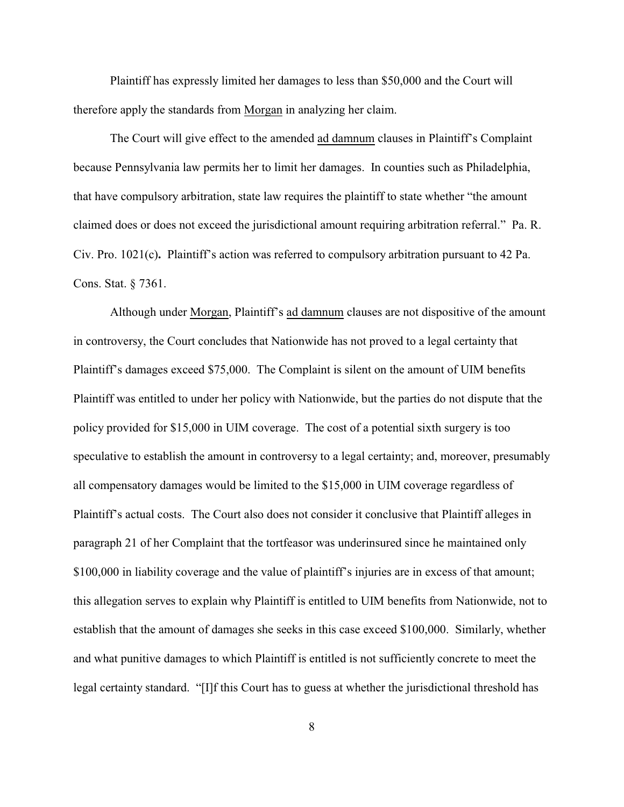Plaintiff has expressly limited her damages to less than \$50,000 and the Court will therefore apply the standards from Morgan in analyzing her claim.

The Court will give effect to the amended ad damnum clauses in Plaintiff's Complaint because Pennsylvania law permits her to limit her damages. In counties such as Philadelphia, that have compulsory arbitration, state law requires the plaintiff to state whether "the amount claimed does or does not exceed the jurisdictional amount requiring arbitration referral." [Pa. R.](file:///|//_top) [Civ. Pro. 1021\(c\)](file:///|//_top)**.** Plaintiff's action was referred to compulsory arbitration pursuant to 42 Pa. Cons. Stat. § 7361.

Although under Morgan, Plaintiff's ad damnum clauses are not dispositive of the amount in controversy, the Court concludes that Nationwide has not proved to a legal certainty that Plaintiff's damages exceed \$75,000. The Complaint is silent on the amount of UIM benefits Plaintiff was entitled to under her policy with Nationwide, but the parties do not dispute that the policy provided for \$15,000 in UIM coverage. The cost of a potential sixth surgery is too speculative to establish the amount in controversy to a legal certainty; and, moreover, presumably all compensatory damages would be limited to the \$15,000 in UIM coverage regardless of Plaintiff's actual costs. The Court also does not consider it conclusive that Plaintiff alleges in paragraph 21 of her Complaint that the tortfeasor was underinsured since he maintained only \$100,000 in liability coverage and the value of plaintiff's injuries are in excess of that amount; this allegation serves to explain why Plaintiff is entitled to UIM benefits from Nationwide, not to establish that the amount of damages she seeks in this case exceed \$100,000. Similarly, whether and what punitive damages to which Plaintiff is entitled is not sufficiently concrete to meet the legal certainty standard. "[I]f this Court has to guess at whether the jurisdictional threshold has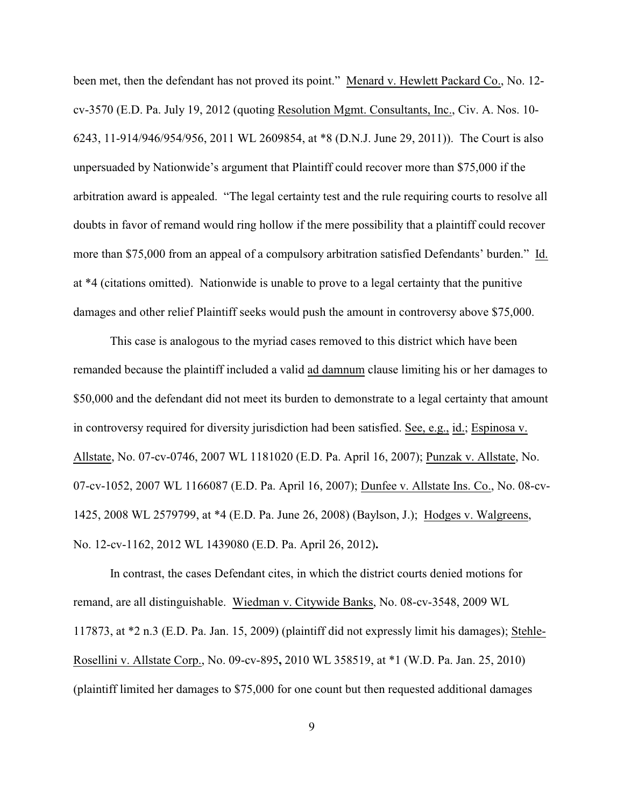been met, then the defendant has not proved its point." Menard v. Hewlett Packard Co., No. 12 cv-3570 (E.D. Pa. July 19, 2012 (quoting Resolution Mgmt. Consultants, Inc., Civ. A. Nos. 10- 6243, 11-914/946/954/956, 2011 WL 2609854, at \*8 (D.N.J. June 29, 2011)). The Court is also unpersuaded by Nationwide's argument that Plaintiff could recover more than \$75,000 if the arbitration award is appealed. "The legal certainty test and the rule requiring courts to resolve all doubts in favor of remand would ring hollow if the mere possibility that a plaintiff could recover more than \$75,000 from an appeal of a compulsory arbitration satisfied Defendants' burden." Id. at \*4 (citations omitted). Nationwide is unable to prove to a legal certainty that the punitive damages and other relief Plaintiff seeks would push the amount in controversy above \$75,000.

This case is analogous to the myriad cases removed to this district which have been remanded because the plaintiff included a valid ad damnum clause limiting his or her damages to \$50,000 and the defendant did not meet its burden to demonstrate to a legal certainty that amount in controversy required for diversity jurisdiction had been satisfied. See, e.g., id.; Espinosa v. Allstate, No. 07-cv-0746, 2007 WL 1181020 (E.D. Pa. April 16, 2007); Punzak v. Allstate, No. 07-cv-1052, 2007 WL 1166087 (E.D. Pa. April 16, 2007); Dunfee v. Allstate Ins. Co., No. 08-cv-1425, 2008 WL 2579799, at \*4 (E.D. Pa. June 26, 2008) (Baylson, J.); Hodges v. Walgreens, No. 12-cv-1162, 2012 WL 1439080 (E.D. Pa. April 26, 2012)**.**

In contrast, the cases Defendant cites, in which the district courts denied motions for remand, are all distinguishable. Wiedman v. Citywide Banks, No. 08-cv-3548, 2009 WL 117873, at \*2 n.3 (E.D. Pa. Jan. 15, 2009) (plaintiff did not expressly limit his damages); Stehle-Rosellini v. Allstate Corp., No. 09-cv-895**,** 2010 WL 358519, at \*1 (W.D. Pa. Jan. 25, 2010) (plaintiff limited her damages to \$75,000 for one count but then requested additional damages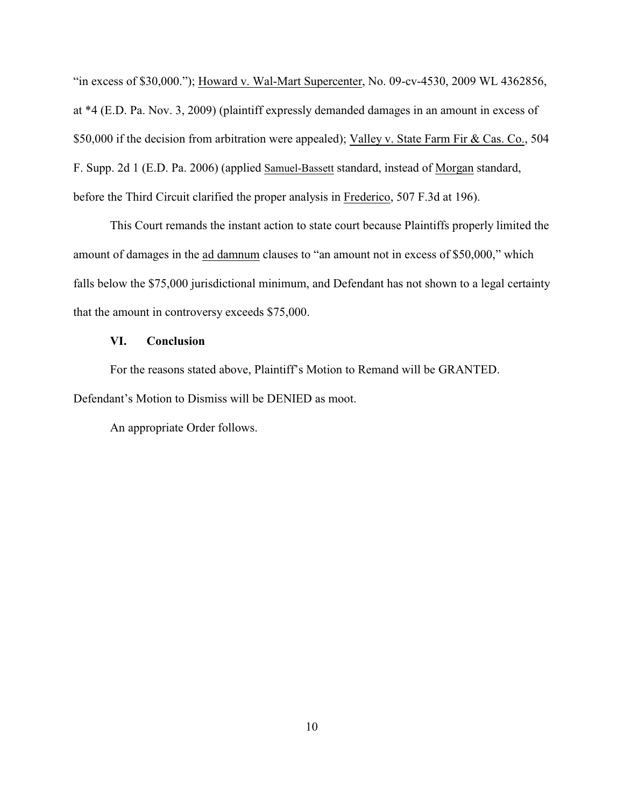"in excess of \$30,000."); Howard v. Wal-Mart Supercenter, No. 09-cv-4530, 2009 WL 4362856, at \*4 (E.D. Pa. Nov. 3, 2009) (plaintiff expressly demanded damages in an amount in excess of \$50,000 if the decision from arbitration were appealed); Valley v. State Farm Fir & Cas. Co., 504 F. Supp. 2d 1 (E.D. Pa. 2006) (applied Samuel-Bassett standard, instead of Morgan standard, before the Third Circuit clarified the proper analysis in Frederico, 507 F.3d at 196).

This Court remands the instant action to state court because Plaintiffs properly limited the amount of damages in the ad damnum clauses to "an amount not in excess of \$50,000," which falls below the \$75,000 jurisdictional minimum, and Defendant has not shown to a legal certainty that the amount in controversy exceeds \$75,000.

# **VI. Conclusion**

For the reasons stated above, Plaintiff's Motion to Remand will be GRANTED. Defendant's Motion to Dismiss will be DENIED as moot.

An appropriate Order follows.